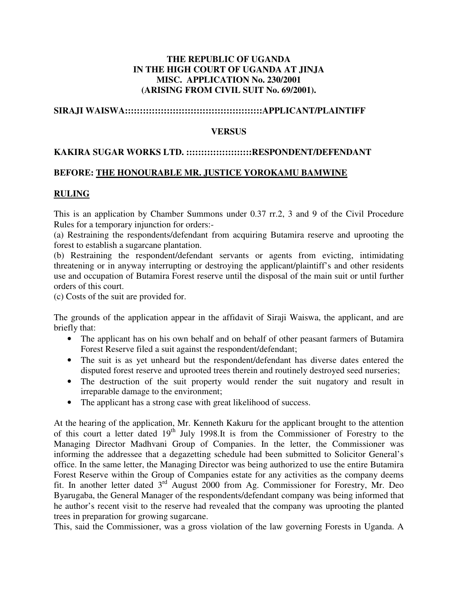## **THE REPUBLIC OF UGANDA IN THE HIGH COURT OF UGANDA AT JINJA MISC. APPLICATION No. 230/2001 (ARISING FROM CIVIL SUIT No. 69/2001).**

## **SIRAJI WAISWA::::::::::::::::::::::::::::::::::::::::::::::APPLICANT/PLAINTIFF**

#### **VERSUS**

## **KAKIRA SUGAR WORKS LTD. ::::::::::::::::::::::RESPONDENT/DEFENDANT**

### **BEFORE: THE HONOURABLE MR. JUSTICE YOROKAMU BAMWINE**

### **RULING**

This is an application by Chamber Summons under 0.37 rr.2, 3 and 9 of the Civil Procedure Rules for a temporary injunction for orders:-

(a) Restraining the respondents/defendant from acquiring Butamira reserve and uprooting the forest to establish a sugarcane plantation.

(b) Restraining the respondent/defendant servants or agents from evicting, intimidating threatening or in anyway interrupting or destroying the applicant/plaintiff's and other residents use and occupation of Butamira Forest reserve until the disposal of the main suit or until further orders of this court.

(c) Costs of the suit are provided for.

The grounds of the application appear in the affidavit of Siraji Waiswa, the applicant, and are briefly that:

- The applicant has on his own behalf and on behalf of other peasant farmers of Butamira Forest Reserve filed a suit against the respondent/defendant;
- The suit is as yet unheard but the respondent/defendant has diverse dates entered the disputed forest reserve and uprooted trees therein and routinely destroyed seed nurseries;
- The destruction of the suit property would render the suit nugatory and result in irreparable damage to the environment;
- The applicant has a strong case with great likelihood of success.

At the hearing of the application, Mr. Kenneth Kakuru for the applicant brought to the attention of this court a letter dated  $19<sup>th</sup>$  July 1998.It is from the Commissioner of Forestry to the Managing Director Madhvani Group of Companies. In the letter, the Commissioner was informing the addressee that a degazetting schedule had been submitted to Solicitor General's office. In the same letter, the Managing Director was being authorized to use the entire Butamira Forest Reserve within the Group of Companies estate for any activities as the company deems fit. In another letter dated 3rd August 2000 from Ag. Commissioner for Forestry, Mr. Deo Byarugaba, the General Manager of the respondents/defendant company was being informed that he author's recent visit to the reserve had revealed that the company was uprooting the planted trees in preparation for growing sugarcane.

This, said the Commissioner, was a gross violation of the law governing Forests in Uganda. A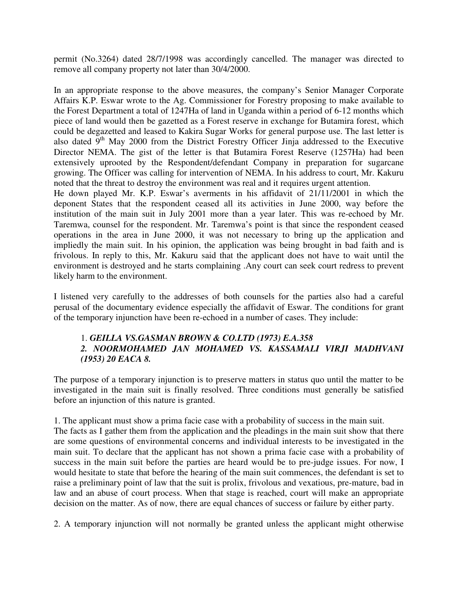permit (No.3264) dated 28/7/1998 was accordingly cancelled. The manager was directed to remove all company property not later than 30/4/2000.

In an appropriate response to the above measures, the company's Senior Manager Corporate Affairs K.P. Eswar wrote to the Ag. Commissioner for Forestry proposing to make available to the Forest Department a total of 1247Ha of land in Uganda within a period of 6-12 months which piece of land would then be gazetted as a Forest reserve in exchange for Butamira forest, which could be degazetted and leased to Kakira Sugar Works for general purpose use. The last letter is also dated  $9<sup>th</sup>$  May 2000 from the District Forestry Officer Jinja addressed to the Executive Director NEMA. The gist of the letter is that Butamira Forest Reserve (1257Ha) had been extensively uprooted by the Respondent/defendant Company in preparation for sugarcane growing. The Officer was calling for intervention of NEMA. In his address to court, Mr. Kakuru noted that the threat to destroy the environment was real and it requires urgent attention.

He down played Mr. K.P. Eswar's averments in his affidavit of 21/11/2001 in which the deponent States that the respondent ceased all its activities in June 2000, way before the institution of the main suit in July 2001 more than a year later. This was re-echoed by Mr. Taremwa, counsel for the respondent. Mr. Taremwa's point is that since the respondent ceased operations in the area in June 2000, it was not necessary to bring up the application and impliedly the main suit. In his opinion, the application was being brought in bad faith and is frivolous. In reply to this, Mr. Kakuru said that the applicant does not have to wait until the environment is destroyed and he starts complaining .Any court can seek court redress to prevent likely harm to the environment.

I listened very carefully to the addresses of both counsels for the parties also had a careful perusal of the documentary evidence especially the affidavit of Eswar. The conditions for grant of the temporary injunction have been re-echoed in a number of cases. They include:

# 1. *GEILLA VS.GASMAN BROWN & CO.LTD (1973) E.A.358 2. NOORMOHAMED JAN MOHAMED VS. KASSAMALI VIRJI MADHVANI (1953) 20 EACA 8.*

The purpose of a temporary injunction is to preserve matters in status quo until the matter to be investigated in the main suit is finally resolved. Three conditions must generally be satisfied before an injunction of this nature is granted.

1. The applicant must show a prima facie case with a probability of success in the main suit. The facts as I gather them from the application and the pleadings in the main suit show that there are some questions of environmental concerns and individual interests to be investigated in the main suit. To declare that the applicant has not shown a prima facie case with a probability of success in the main suit before the parties are heard would be to pre-judge issues. For now, I would hesitate to state that before the hearing of the main suit commences, the defendant is set to raise a preliminary point of law that the suit is prolix, frivolous and vexatious, pre-mature, bad in law and an abuse of court process. When that stage is reached, court will make an appropriate decision on the matter. As of now, there are equal chances of success or failure by either party.

2. A temporary injunction will not normally be granted unless the applicant might otherwise